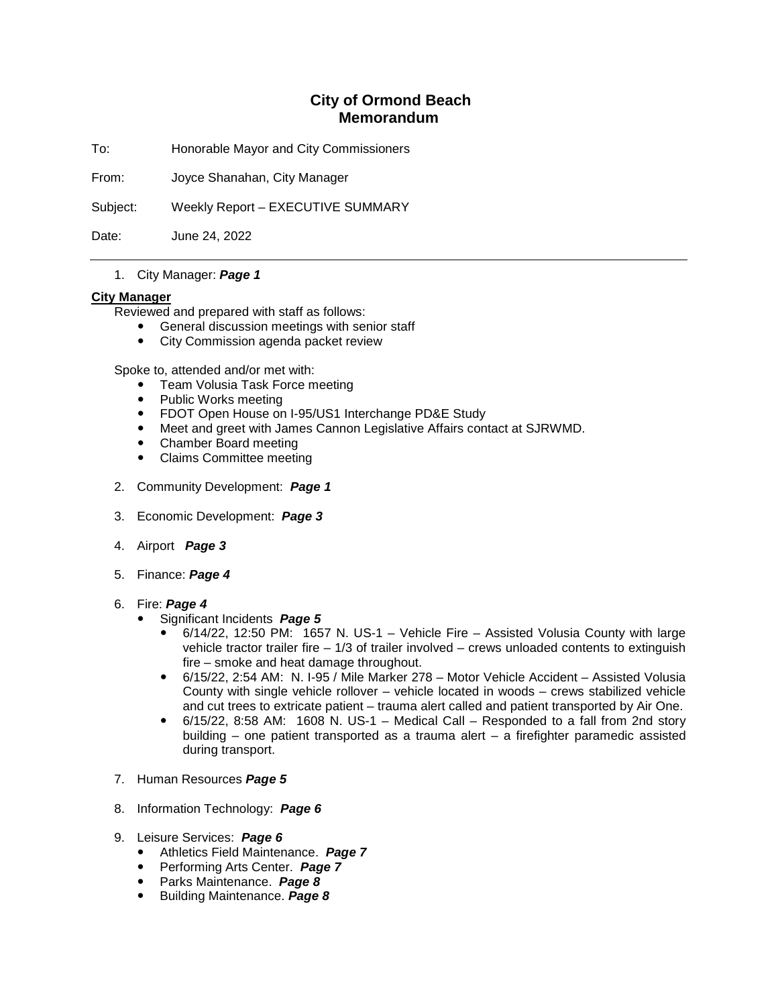## **City of Ormond Beach Memorandum**

To: Honorable Mayor and City Commissioners

From: Joyce Shanahan, City Manager

Subject: Weekly Report – EXECUTIVE SUMMARY

Date: June 24, 2022

## 1. City Manager: *Page 1*

## **City Manager**

Reviewed and prepared with staff as follows:

- General discussion meetings with senior staff
- City Commission agenda packet review

Spoke to, attended and/or met with:

- Team Volusia Task Force meeting
- Public Works meeting
- FDOT Open House on I-95/US1 Interchange PD&E Study<br>• Meet and greet with James Cannon Legislative Affairs con
- Meet and greet with James Cannon Legislative Affairs contact at SJRWMD.
- Chamber Board meeting
- Claims Committee meeting
- 2. Community Development: *Page 1*
- 3. Economic Development: *Page 3*
- 4. Airport *Page 3*
- 5. Finance: *Page 4*
- 6. Fire: *Page 4*
	- Significant Incidents *Page 5*
		- 6/14/22, 12:50 PM: 1657 N. US-1 Vehicle Fire Assisted Volusia County with large vehicle tractor trailer fire – 1/3 of trailer involved – crews unloaded contents to extinguish fire – smoke and heat damage throughout.
		- 6/15/22, 2:54 AM: N. I-95 / Mile Marker 278 Motor Vehicle Accident Assisted Volusia County with single vehicle rollover – vehicle located in woods – crews stabilized vehicle and cut trees to extricate patient – trauma alert called and patient transported by Air One.
		- $\bullet$  6/15/22, 8:58 AM: 1608 N. US-1 Medical Call Responded to a fall from 2nd story building – one patient transported as a trauma alert – a firefighter paramedic assisted during transport.
- 7. Human Resources *Page 5*
- 8. Information Technology: *Page 6*
- 9. Leisure Services: *Page 6*
	- Athletics Field Maintenance. *Page 7*
	- Performing Arts Center. *Page 7*
	- Parks Maintenance. *Page 8*
	- Building Maintenance. *Page 8*